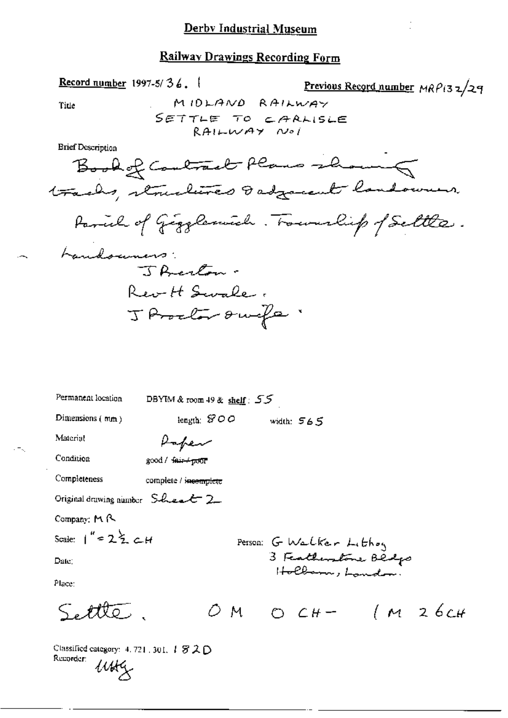Previous Record number MRP132/29

Classified category: 4, 721, 301,  $T \otimes \mathcal{L} \bigcirc$ Recorder:  $u$ 

Record number 1997-5/36.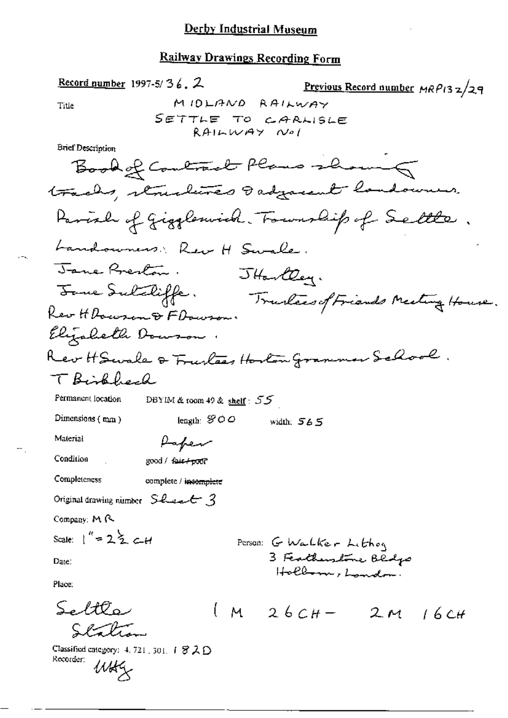Record number 1997-5/36.  $2$ Previous Record number MRP132/29 MIDLAND RAILWAY Title SETTLE TO CARLISLE  $RAILWAY$   $Nol$ **Brief Description** Book of Contract Plans showing tracks, structures dadgarent landowners. Parish of gigglewich. Township of Settle. Landowners: Rev H Swale. Jane Preston. JHartley. Forme Sulabiffe. Trustees of Friends Meeting House. Rev H Dowson & F Dowson. Elizabeth Dowson. Rev HSwale & Fructees Hoston Grammer School. T Biskbech Permanent location DBYIM & room 49 & shelf:  $55$ Dimensions  $(mn)$ length:  $\mathcal{Y} \circ \varphi$ width:  $565$ Material Paper Condition good / fair + poor Completeness complete / incomplete Original drawing number  $S$  has  $\epsilon$  3 Company: MR Scale:  $1'' = 2 \frac{1}{2}$  c\_H Person: G Walker Lithog 3 Featherstone Bedgs Date: Hollows, Landon. Place:  $S$ edt $\mathcal{O}$ oz  $M_{26CH} - 2M_{16CH}$  $Q = \frac{1}{2}$ Classified category:  $4.721, 301, 1.82, 0$ Recorder:  $u$ u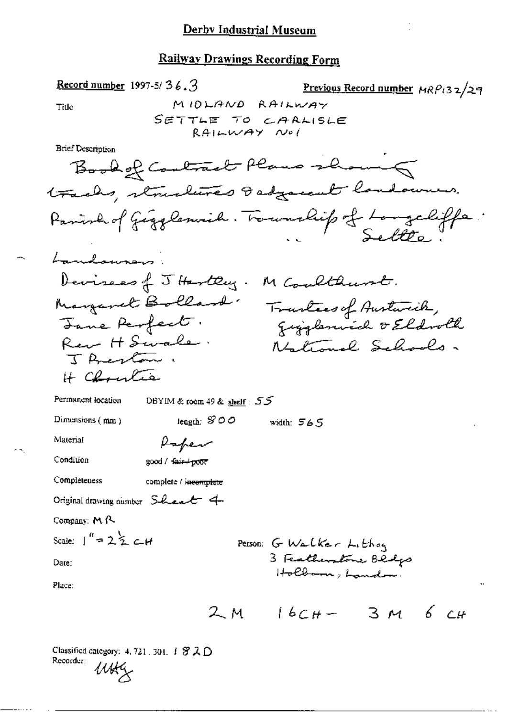Record number 1997-5/ 
$$
36.3
$$

Previous Record number 
$$
MRP_{132}/29
$$

Title

**Brief Description** 

Permanent location

DBYIM & room 49 & shelf: 55

Dimensions (mm)

leagth:  $$OO$  width:  $565$ 

Material

Condition

good / fair+poor

Paper

Completeness complete / incomplete

Original drawing number Sheat 4

 $\mathbf{r}$ 

Company: M R.

Scale: 
$$
\int_{0}^{a} = 2 \leq c
$$

Date:

Place:

$$
2M \quad 16C_{H} - 3M \quad 6C_{H}
$$

Person: G Walker Lithog<br>3 Featherstone Blogs<br>Holbarn, Landon:

Classified category: 4, 721, 301, 1 罗入D Recorder: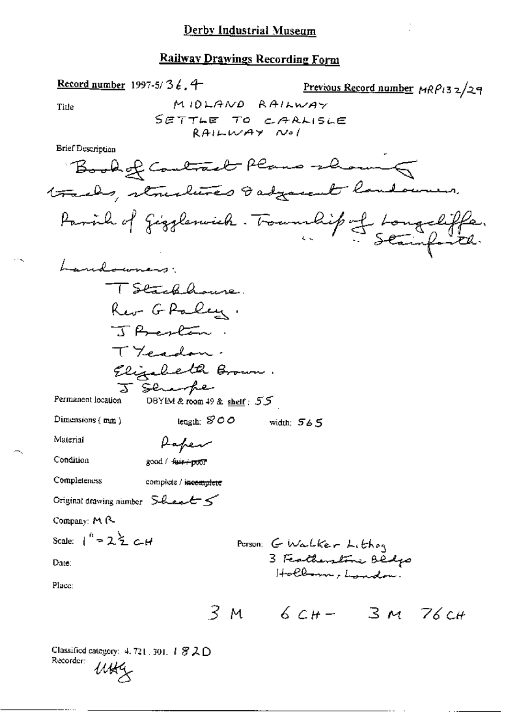Record number 1997-5/3  $\ell$ , 4 Previous Record number MRP132/29 MIDLAND RAILWAY Title SETTLE TO CARLISLE  $RAILMAYNol$ **Brief Description** Book of Contract Plans shown tracks, structures I adjacent landowners. Parish of Gigglenvick. Township of Longchiffe. Landowners: TStackhouse Rev G Paley. J Acolan TYcadon. Elizabeth Brown. J sembe Permanent location DBYIM & room 49 & shelf: 55 length:  $SOO$  width:  $565$ Dimensions (mm) Material Paper Condition good / fuir+poor Completeness complete / i<del>ncomplete</del> Original drawing number  $S$ -hert  $S$ Company: M R Scale:  $1'' = 2\frac{3}{2}C_4H$ Person: G Walker Lithog 3 Featherstone Bedgo Date: Hollown, London. Place:  $3M$  6  $CH - 3M$  76  $CH$ Classified category:  $4.721 \pm 301$ .  $1.820$ Recorder: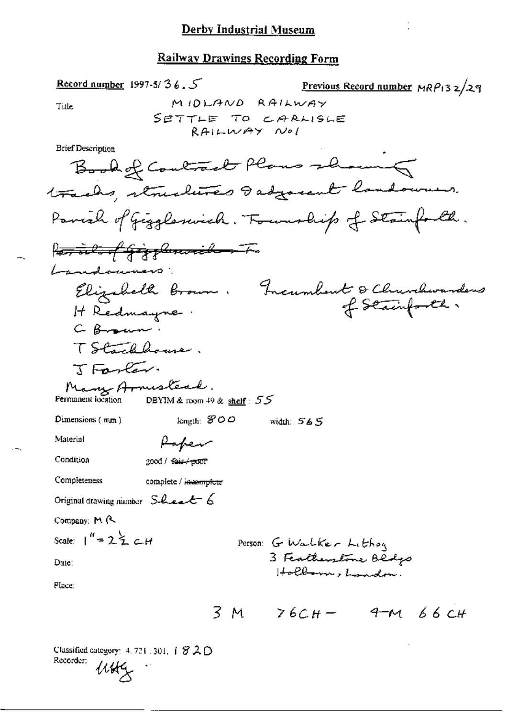Record number 1997-5/36. Previous Record number  $MRP_132/29$ MIDLAND RAILWAY Title SETTLE TO CARLISLE RAILWAY Nol **Brief Description** Book of Contract Plans showing tracks, structures dadgement landowners. Parish of Giggleswich. Township of Stainforth. Partil of Gigsburnik - To Landouners: Elizabeth Brown. Incumbent & Churchwardens<br>It Redmaune. H Redmayne. C Braun TStacklouse. TFarley. Many Armesteal. DBYIM & room 49 & shelf:  $55$ Dimensions  $(mn)$ length:  $$00$ width: 565 Material Paper Condition good / fair / poor Completeness complete / i<del>ncomplete</del> Original drawing number Sheet 6 Company: M R Scale:  $1'' = 2.5 \text{ cm}$ Person: G Walker Lithon 3 Featherstone Bedgo Dute: Hollown, London. Place:  $3 M$   $76CH - 9 M66CH$ Classified category:  $4.721.301, 1.820$ 

Recorder: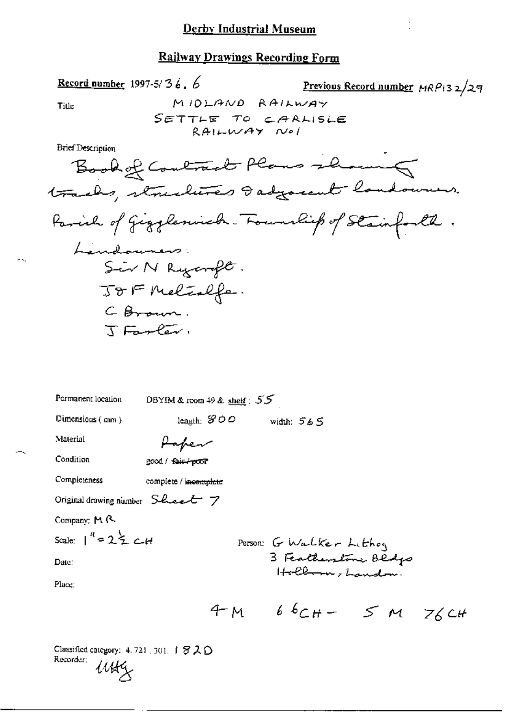Title

жX.

Previous Record number MRP132/29

÷,

Brief Description

Record number 1997-5/3  $6.6$ 

| Permanent location                      | DBYIM & room 49 & shelf: $55$                       |
|-----------------------------------------|-----------------------------------------------------|
| Dimensions $(mn)$                       | length: $\mathcal{S} \circ \varphi$<br>width: $565$ |
| Material                                | Paper                                               |
| Condition                               | good / fair / poor                                  |
| Completeness                            | complete / i <del>ncomplete</del>                   |
| Original drawing number $S$ -Lee- $t$ 7 |                                                     |
| Company: M R                            |                                                     |
| Scale: $1^4$ = 2 $\leq$ $c$ -H          | Person: G Walker Lithog                             |
| Date:                                   | 3 Featherstone Bldgs<br>Hollman, Landon.            |
| Place:                                  |                                                     |
|                                         | $66C_{H} - 5M$ 76 CH<br>M                           |

Classified category: 4.721.301. 1820 Recorder;  $u$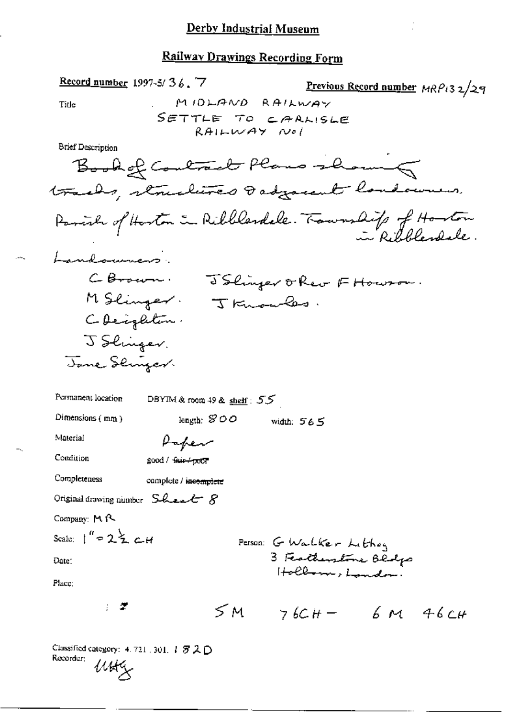ï

 $\sim$ 

 $\frac{1}{2}$ 

# Railway Drawings Recording Form

| Record number 1997-5/36.7  | Previous Record number $MRP132/29$ |          |
|----------------------------|------------------------------------|----------|
| Title                      | $M10L19NDRA1L1W4Y$                 |          |
| SET Describe To $CAAL15LE$ |                                    |          |
| Brit-Bescription           | Be-4C                              | Pe-4C-4C |
| SET Description            | Be-4C                              | Pe-4C-4C |
| 111                        | Be-4C                              | Meal 14C |
| 122                        | Meal 14C                           | Meal 14C |
| 132                        | Meal 14C                           | Meal 14C |
| 142                        | Meal 14C                           |          |
| 152                        | Meal 14C                           |          |
| 162                        | Meal 14C                           |          |
| 162                        | Meal 14C                           |          |
| 162                        | Meal 14C                           |          |
| 162                        | Meal 14C                           |          |
| 162                        | Meal 14C                           |          |
| 162                        | Meal 14C                           |          |
| 162                        | Meal 14C                           |          |
| 162                        | 26C                                |          |
| 162                        | 26C                                |          |
| 162                        | 26C                                |          |
| 162                        | 26C                                |          |
| 162                        | Meal 14C                           |          |
| 162                        | Meal 14C                           |          |
| 162                        | Meal 14C                           |          |
| 162                        | Me                                 |          |

Classified category: 4, 721, 301,  $T \otimes \mathcal{L} \mathsf{D}$ Classiticum<br>Recorder: Utility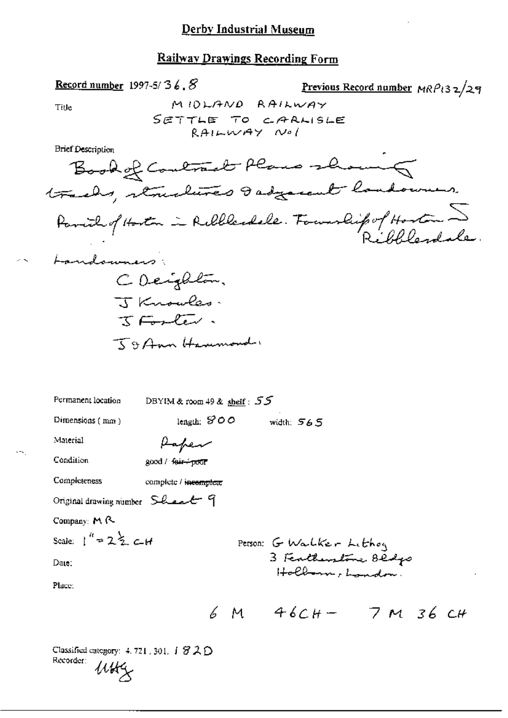#### Derby Industrial Museum

#### **Railway Drawings Recording Form**

Record number 1997-5/36.  $8$ Previous Record number MRP132/29 MIDLAND RAILWAY Title SETTLE TO CARLISLE  $RAILWAY$   $Nol$ **Brief Description** Book of Contract Plans showing tracks, structures dasgarent landowner. Parish of Hoston in Ribblesdale. Fourship of Hoston I Landowners: CDeighton. J Knowles.  $T \sqsubset T$ 59 Ann Hammond. Permanent location DBYIM & room 49 & shelf:  $55$ length:  $$OO$  width:  $565$ Dimensions (mm) Material Paper Condition good / feir+poor Completeness complete / incomplete Original drawing number Sheet 9 Company: M R Scale:  $1'' = 2\frac{1}{2}$  c-H Person: G Walker Lithoy 3 Featherstone Bedgs Date:  $H\noth$  of  $L$  and  $\sim$ Place:  $6 M 46CH - 7 M 36 CH$ 

Classified category: 4, 721, 301,  $\overline{1}$   $\overline{3}$   $\overline{2}$   $\overline{1}$ Recorder: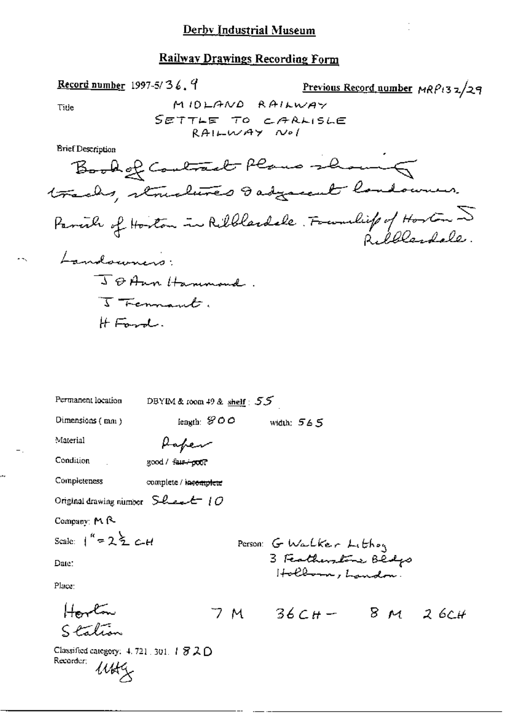Record number 1997-5/36,  $9$ Previous Record number  $MRP_{13}z/29$ MIDLAND RAILWAY Tide SETTLE TO CARLISLE  $RAI$  $WAY$   $Nol$ **Erief Description** Book of Contract Plans showing tracks, structures dadgarent landowner. Parcile of Hoston in Ribblandele. Foundit of Hoston 5 Landowners J & Ann Hannand. I Fermant.  $H_{\text{Fmod}}$ Permanent location DBYIM & room 49 & shelf  $: 55$ length:  $$OO$  width:  $565$ Dimensions (mm) Material Paper Condition good / faut+poor  $\mathbb{R}^2$ Completeness complete / incomplete Original drawing number  $S$ -level  $O$ Company: M R-Scale:  $1^k = 2 \xi$  C-H Person: G Walker Lithog 3 Featherstone Bedgs Date: Place: Howton  $7M$   $36CH - 8M$   $26CH$ Station Classified category:  $4.721$ , 301,  $1.872$  O Recorder;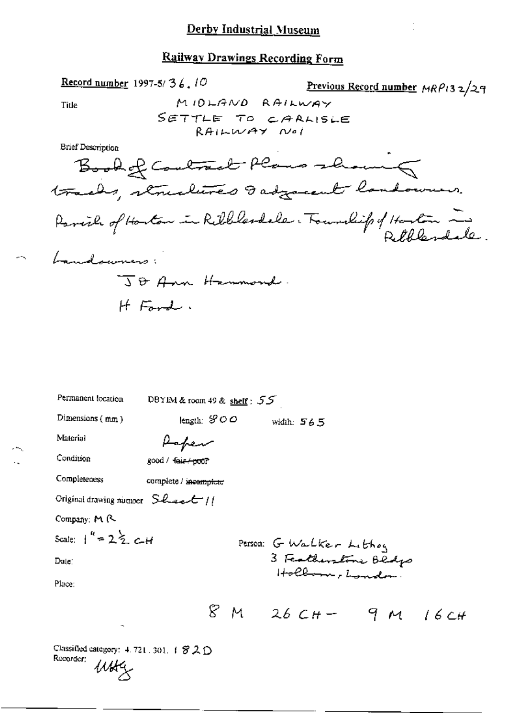MIDLAND RAILWAY

SETTLE TO CARLISLE RAILWAY Noi

Book of Contract Plans showing

Previous Record number MRP132/29

tracks, structures I adjacent landowners. Parcial of Hoston in Ribblesdale. Township of Hoston in Landowners: TO Ann Hammond. H Ford. Permanent location DBYIM & room 49 & shelf :  $55$ Dimensions  $(mm)$ length:  $\mathcal{S} \circ \phi$ width: 565 Material Paper Condition good / fair / poor Completeness complete / incomplete Original drawing number  $S$ lesslt // Company: M R Scale:  $1'' = 2 \frac{1}{2} c H$ Person: G Walker Lithog

Date:

Place:

3 Featherstone Bedgs

Hollman, London

Classified category:  $4.721.301.$  ( $820$ Recorder:  $\mu$ 

Record number 1997-5/36, 10

Title

**Brief Description**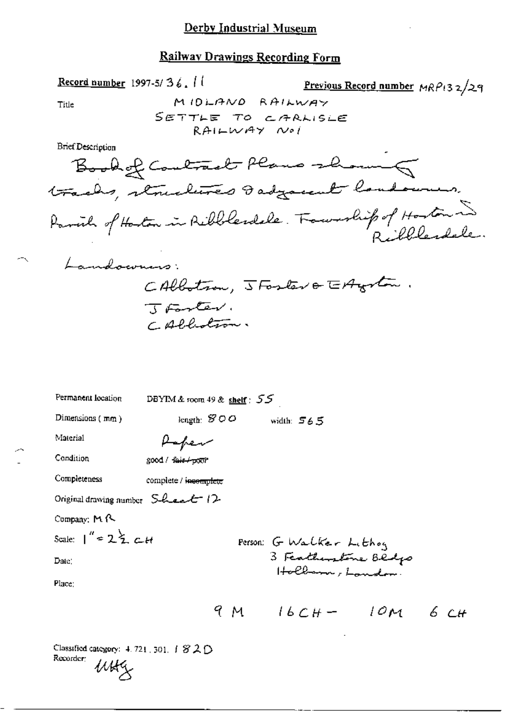Previous Record number  $MRP(32/29)$ 

\n
$$
\begin{array}{r}\n\text{The } \text{MIDLANO RAHWWAY} \\
\text{BireDescription} \\
\text{BireDefinition} \\
\text{Borel} \\
\text{BireDecipion} \\
\text{Hriubay } \text{Rilubay } \text{Voi} \\
\text{Hriubay } \text{Voi} \\
\text{Borel} \\
\text{Borel} \\
\text{Borel} \\
\text{Borel} \\
\text{Borel} \\
\text{Borel} \\
\text{Borel} \\
\text{Borel} \\
\text{Borel} \\
\text{Borel} \\
\text{Borel} \\
\text{Borel} \\
\text{Borel} \\
\text{Borel} \\
\text{Borel} \\
\text{Borel} \\
\text{Borel} \\
\text{Borel} \\
\text{Borel} \\
\text{Borel} \\
\text{Borel} \\
\text{Borel} \\
\text{Borel} \\
\text{Borel} \\
\text{Borel} \\
\text{Borel} \\
\text{Borel} \\
\text{Borel} \\
\text{Borel} \\
\text{Borel} \\
\text{Borel} \\
\text{Borel} \\
\text{Borel} \\
\text{Borel} \\
\text{Borel} \\
\text{Borel} \\
\text{Borel} \\
\text{Borel} \\
\text{Borel} \\
\text{Borel} \\
\text{Borel} \\
\text{Borel} \\
\text{Borel} \\
\text{Borel} \\
\text{Borel} \\
\text{Borel} \\
\text{Borel} \\
\text{Borel} \\
\text{Borel} \\
\text{Borel} \\
\text{Borel} \\
\text{Borel} \\
\text{Borel} \\
\text{Borel} \\
\text{Borel} \\
\text{Borel} \\
\text{Borel} \\
\text{Borel} \\
\text{Borel} \\
\text{Borel} \\
\text{Borel} \\
\text{Borel} \\
\text{Borel} \\
\text{Borel} \\
\text{Borel} \\
\text{Borel} \\
\text{Borel} \\
\text{Borel} \\
\text{Borel} \\
\text{Borel} \\
\text{Borel} \\
\text{Borel} \\
\text{Borel} \\
\text{Borel} \\
\text{Borel} \\
\text{Borel} \\
\text{Borel} \\
\text{Borel} \\
\text{Borel} \\
\text{Borel} \\
\text{Borel} \\
\text{Borel} \\
\text{B
$$

Classified category:  $4.721$ , 301,  $1820$ Recorder:  $u$ utg

Record number 1997-5/36. 11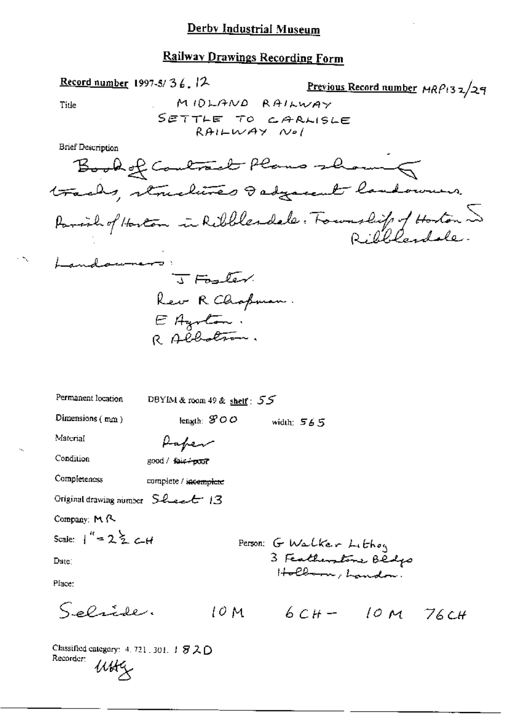Classified category: 4, 721, 301,  $\pm$   $\mathcal{F2D}$ Recorder:  $u$ **u** 

 $\gamma_{\rm g}$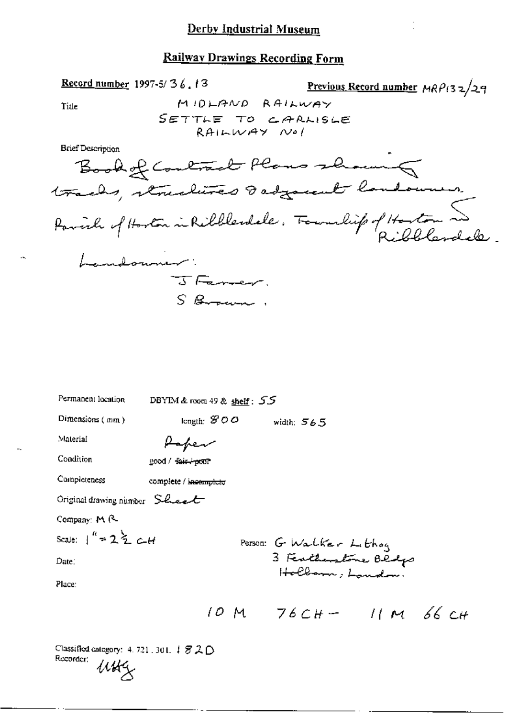MIDLAND RAILWAY

SETTLE TO CARLISLE RAILWAY Nol

Previous Record number  $MRP(32/29)$ 

 $\Omega$ 

Original drawing number Sheet

 $\overline{1}$ 

Record number 1997-5/36.13

Title

**Brief Description** 

 $\sim$ 

Company: M R.

$$
Scale: \quad \int_0^R = 2 \cdot \sum_{i=1}^R C_i H_i
$$

Date:

Place:

Person: G Walker Lithog<br>3 Ferthenstone Blogs<br>Holborn; Landon:

| Classified category: $4.721$ , $301.$ $\downarrow$ $\mathcal{B} \mathcal{L} \bigcirc$ |     |  |
|---------------------------------------------------------------------------------------|-----|--|
| Recorder:                                                                             | uuz |  |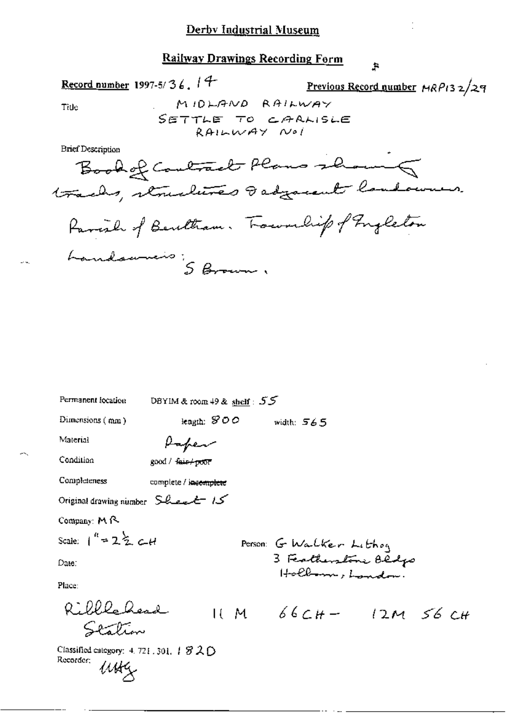#### $\ddot{\mathbf{r}}$

Title

 $\overline{a}$ 

$$
\underline{\text{Previous Record number}} \text{ MRP13 } 2 \angle 29
$$

 $\ddot{\cdot}$ 

**Brief Description** 

Record number 1997-5/36. 14

| Permanent location                                                 | DBYIM & room $49$ & shelf: $55$ |                                          |                        |
|--------------------------------------------------------------------|---------------------------------|------------------------------------------|------------------------|
| Dimensions $(mn)$                                                  | length: $$00$                   | width: $565$                             |                        |
| Material                                                           | Paper                           |                                          |                        |
| Condition                                                          | $good /$ fair $+root$           |                                          |                        |
| Completeness                                                       | complete / incomplete           |                                          |                        |
| Original drawing number Sheet 15                                   |                                 |                                          |                        |
| Company: $M \wedge$                                                |                                 |                                          |                        |
| Scale: $1'' = 2Z \sim 44$                                          |                                 | Person: G Walker Lithog                  |                        |
| Date:                                                              |                                 | 3 Featherstone Oldgo<br>Hollow , Landon. |                        |
| Place:                                                             |                                 |                                          |                        |
| Ribbledesd<br>rentino                                              |                                 |                                          | $11 M 66CH - 12M 56CH$ |
| Classified category: 4, 721, 301, $\#$ 3 2 $\bigcirc$<br>Recorder: |                                 |                                          |                        |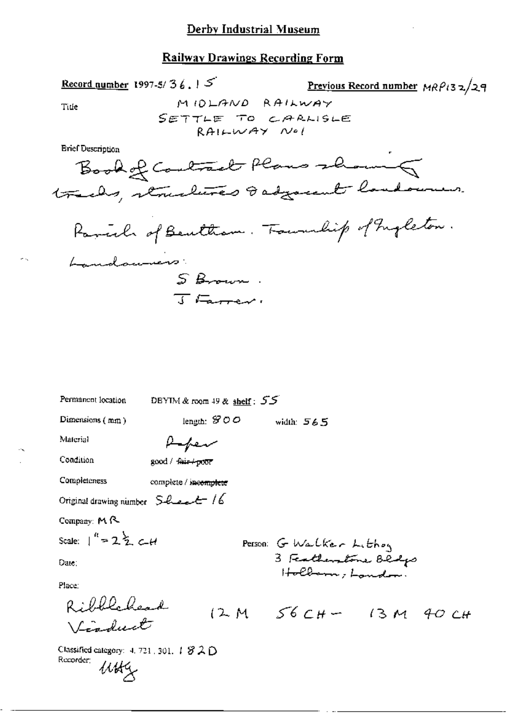Record number 1997-5/36.  $5^{\circ}$ 

×.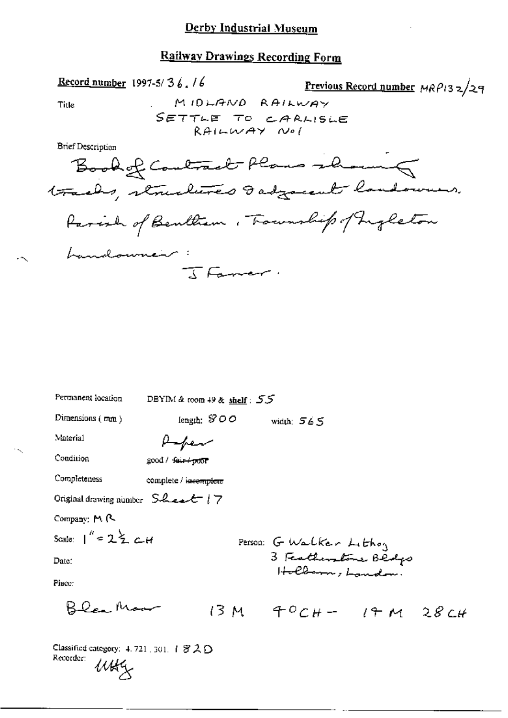Title

7-5/36.16 Previous Record number 
$$
MRP132/29
$$
  
M10 $MRND$   $RAIWWAY$ 

**Brief Description** 

Record number 1997-5/36.16

| Permanent location                     | DBYIM & room 49 & shelf: $55$ |              |                         |                                                                                                                    |  |
|----------------------------------------|-------------------------------|--------------|-------------------------|--------------------------------------------------------------------------------------------------------------------|--|
| Dimensions $(mn)$                      | length: $$OO$                 | width: $565$ |                         |                                                                                                                    |  |
| Material                               | Hapen                         |              |                         |                                                                                                                    |  |
| Condition                              | good / fair+poor              |              |                         |                                                                                                                    |  |
| Completeness                           | complete / iseemplete         |              |                         |                                                                                                                    |  |
| Original drawing number $S$ heart $17$ |                               |              |                         |                                                                                                                    |  |
| Company: M R                           |                               |              |                         |                                                                                                                    |  |
| Scale: $1'' = 2\frac{1}{2}$ c-H        |                               |              | Person: G Walker Lithoy |                                                                                                                    |  |
| Date:                                  |                               |              |                         | 3 Featherstone Blodgs<br>$H\rightarrow\mathcal{C}b\rightarrow\cdots$ , $L\rightarrow\mathcal{C}b\rightarrow\cdots$ |  |
| Place:                                 |                               |              |                         |                                                                                                                    |  |
| $B$ lea Moor                           |                               |              |                         | $13M$ $40CH - 14M$ $28CH$                                                                                          |  |

Classified category: 4, 721, 301, 1 8 2 D Recorder:  $u$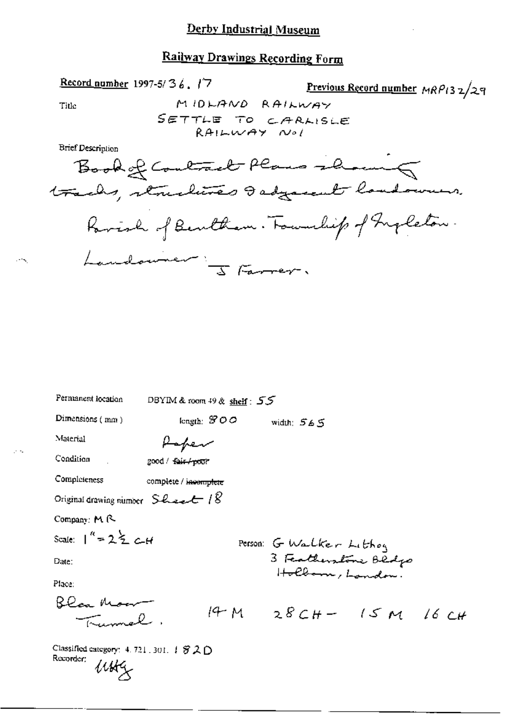### Derby Industrial Museum

# Railway Drawings Recording Form

$$
\frac{\text{Record number}}{1997-5/36.17}
$$

Previous Record number 
$$
MRP_{132}/29
$$

Title

жy.

 $\sim$   $\sim$ 

**Brief Description** 

| Permanent location                                                | DBYIM & room 49 & shelf: 55 |                           |
|-------------------------------------------------------------------|-----------------------------|---------------------------|
| Dimensions (mm)                                                   | length: $SOO$               | width: 565                |
| Material                                                          | Hapen                       |                           |
| Condition                                                         | good / fair / pour          |                           |
| Completeness                                                      | complete / incomplete       |                           |
| Original drawing number $S$ have $\epsilon$ / $\&$                |                             |                           |
| Company: M R                                                      |                             |                           |
| Scale: $1'' = 2\frac{1}{2}$ C-H                                   |                             | Person: G Walker Lithog   |
| Date:                                                             |                             | 3 Featherstone Bldgs      |
| Place:                                                            |                             | Hollan , Landon.          |
| Blea Moor<br>$\mathcal{L}$                                        |                             | $14 M 28 CH - 15 M 16 CH$ |
| Classified category: $4.721.301.$ $\#$ 3. $\bigcirc$<br>Recorder; |                             |                           |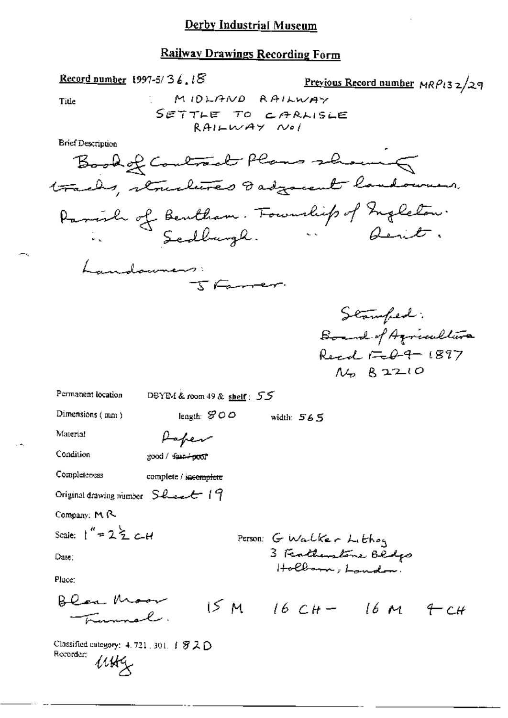Ÿ,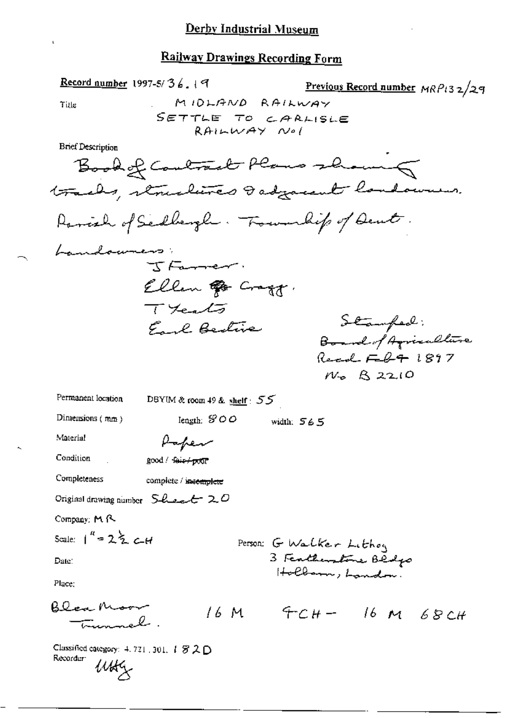$Record number 1997-5/36.$ </u> Previous Record number MRP132/29 MIDLAND RAILWAY Title SETTLE TO CARLISLE RAILWAY Nol **Brief Description** Book of Contract Plans showing tracks, structures I adjacent landowners. Ranish of Sellengh. Township of Deut. Landowners:  $T_{\text{F}}$ Ellen & Cragg.  $T_{\text{Hea}}$ Stamfed: Earl Bestive Board of Agriculture Read  $F - 241897$  $N_{0}$   $R$  2210 Permanent location DBYIM & room 49 & shelf :  $55$ Dimensions (mm) length:  $SOO$ width: 565 Material Paper Condition good / fair/poor Completeness complete / incomplete Original drawing number  $S$ -lace  $\epsilon$  20 Company: M R Scale:  $1^{u} = 2 \frac{1}{2} c_{-}H$ Person: G Walker Lithoy 3 Featherstone Bedgo Date: Holbarn, Landon. Place: Blea Moor  $16M$   $9C_{H}$   $16M$   $68C_{H}$ <del>Eugenel</del>. Classified category: 4, 721, 301, 1 罗 2 D Recordur:  $\mu$ u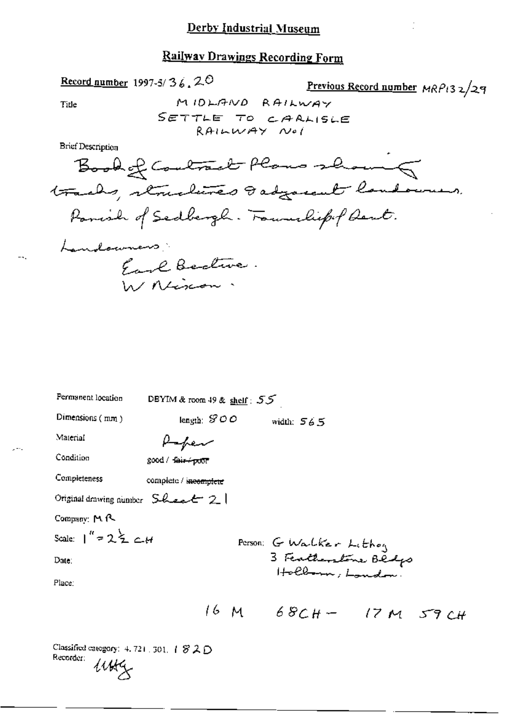MIDLAND RAILWAY

Previous Record number  $MRP/32/29$ 

| Permanent location                                       | DBYIM & room 49 & shelf: $55$ |                                         |  |
|----------------------------------------------------------|-------------------------------|-----------------------------------------|--|
| Dimensions (mm)                                          | length: $SOO$                 | width: $565$                            |  |
| Material                                                 | Hapen                         |                                         |  |
| Condition                                                | good / fair+poor              |                                         |  |
| Completeness                                             | complete / incomplete         |                                         |  |
| Original drawing number $SL_{\nightharpoonup}$ $\perp$ 2 |                               |                                         |  |
| Company: MR                                              |                               |                                         |  |
| Scale: $1'' = 2\frac{1}{2}$ c H                          |                               | Person: G Walker Lithog                 |  |
| Date:                                                    |                               | 3 Featherstone Beefs<br>Holborn, London |  |
| Place:                                                   |                               |                                         |  |
|                                                          |                               | 16 M 68CH- 17 M 59 CH                   |  |
|                                                          |                               |                                         |  |
|                                                          |                               |                                         |  |

Classified category: 4, 721, 301, 1 8 2 D Recorder:  $u$ 

Record number 1997-5/36.20

Title

 $-$ 

 $\sim$  =  $\sim$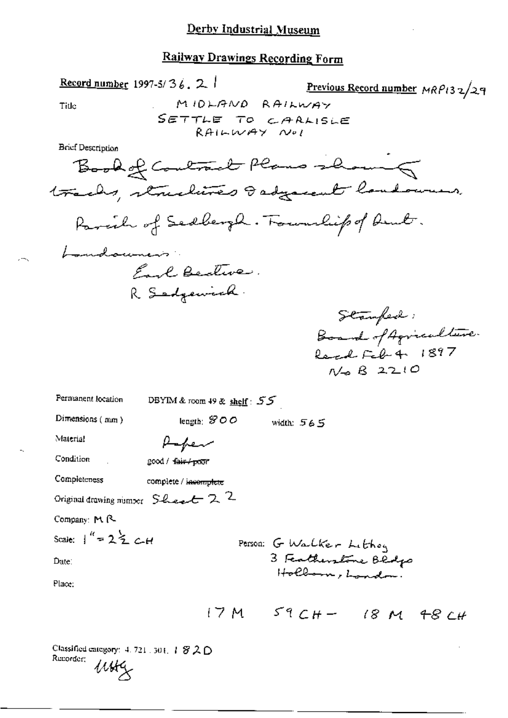MIDLAND RAILWAY

Previous Record number MRP132/29

SETTLE TO CARLISLE RAILWAY Nol Brief Description Book of Contract Plans showing tracks, structures Isdyacent landowners. Parcil of Sedbergh. Foundiep of Deut. Landouness. Each Beature. R Sedgewich. Stamfed: Board of Agriculture. Real Feb 4 1897  $N \rightarrow B$  2210 Permanent location DBYIM & room 49 & shelf: 55 Dimensions (mm) leagth: SOO width:  $565$ Material Paper Condition good / fair / poor Completeness complete / incomplete Original drawing number  $S$ -here  $\epsilon$  2 Company: M. R. Scale:  $\frac{1}{2}$  = 2  $\frac{1}{2}$  c Person: G Walker Lithoy 3 Featherstone Bedgs Date: Hollow, London? Place:

 $17M$   $59CH - 18M + 8CH$ 

Classified category:  $4.721$  ,  $301$ ,  $1820$ Recorder;  $\mu$ u

Record number 1997-5/36, 2 |

Title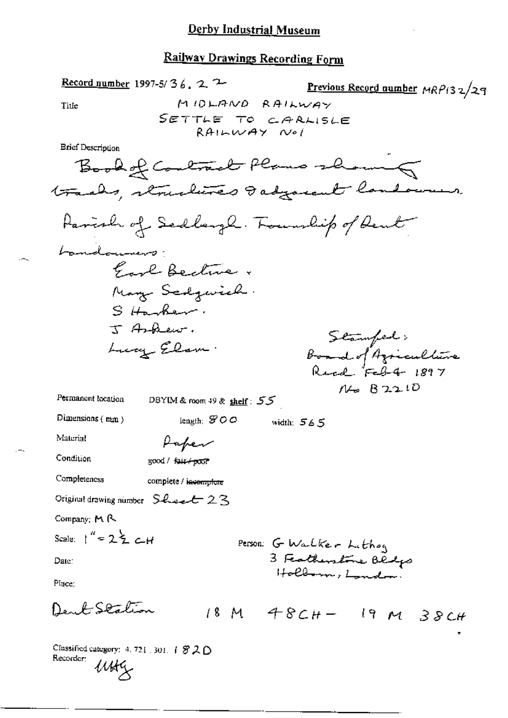Record number 1997-5/36, 2 2 Previous Record number MRP132/29 MIDLAND RAILWAY Title SETTLE TO CARLISLE  $RAILWAY$   $NeI$ **Brief Description** Book of Contract Plans shown 5 tracks, remalines dadyarent landowner. Parish of Sedlargh. Township of Deut Landouners. Good Bective. May Scagwich. Sitanher. J Arhenr. Stamfed;<br>Board of Azriculture<br>Reed Feb4 1897 Lucy Elam.  $N = 82210$ Permanent location DBYIM & room 49 & shelf:  $55$ Dimensions (mm) length;  $$00$ width:  $565$ Material Paper Condition good / fair+poor Completeness complete / incomplete Original drawing number Sheet 23 Company: M R Scale:  $1'' = 2\frac{1}{2} c H$ Person: G Warlker Lithog 3 Featherstone Bedgs Date: Hollman, London Place: Deub Station  $18M$  48CH- 19 M 38CH

Classified category: 4, 721 . 301.  $\uparrow$   $\mathcal{B}$  2.  $\bigcirc$ Recorder:  $\mu$ ue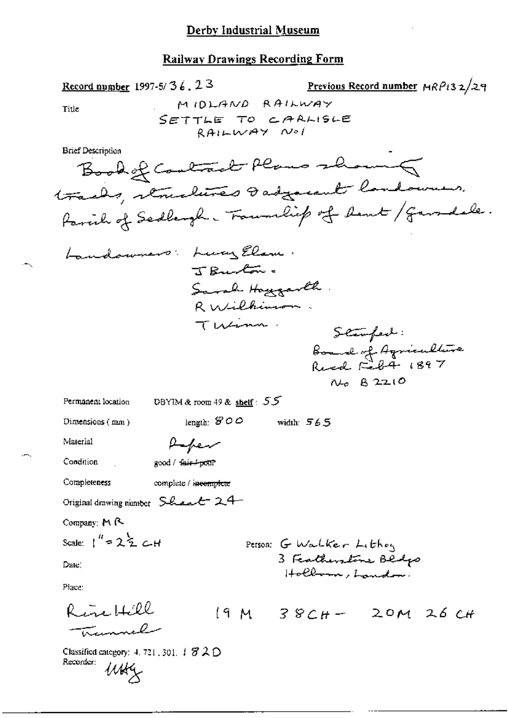$\leftarrow$ 

÷,